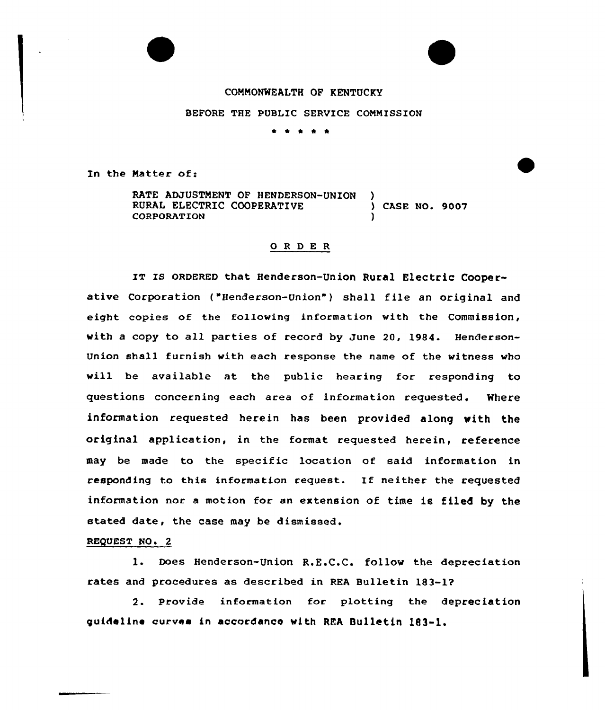## COMMONWEALTH OF KENTUCKY

BEFORE THE PUBLIC SERVICE COMMISSION

\* \* \* \* \*

In the Matter of:

RATE ADJUSTMENT OF HENDERSON-UNION RURAL ELECTRIC COOPERATIVE ) CASE NO. 9007 **CORPORATION** 

## 0 <sup>R</sup> <sup>D</sup> E <sup>R</sup>

IT Is oRDERED that Henderson-Union Rural Electric Cooperative Corporation ("Henderson-Union") shall file an original and eight copies of the folloving information vith the Commission, with a copy to all parties of record by June 20, 1984. Henderson-Union shall furnish with each response the name of the witness vho will be available at the public hearing for responding to questions concerning each area of information requested. Where information requested herein has been provided along with the original application, in the format requested herein, reference may be made to the specific location of said information in responding to this information request. If neither the requested information nor a motion for an extension of time is filed by the stated date, the case may be dismissed.

## REQUEST NO. 2

I. Does Henderson-Union R.E.C.C. follow the depreciation rates and procedures as described in REA Bulletin 183-17

2. Provide information for plotting the depreciation guideline curves in accordanco with REA Bulletin 183-1.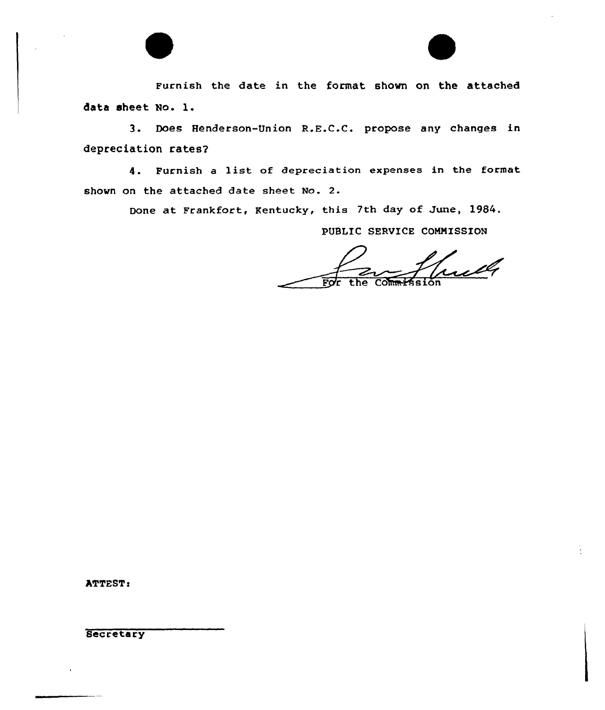

Furnish the date in the format shown on the attached data sheet No. l.

3. Does Henderson-Union R.E.C.C. propose any changes in depreciation rates2

4. Furnish <sup>a</sup> list of depreciation expenses in the format shovn on the attached date sheet No. 2.

Done at Frankfort, Kentucky, this 7th day of June, 1984.

PUBLIC SERUICE COMNISSION

ulle

ATTEST:

**Secretary**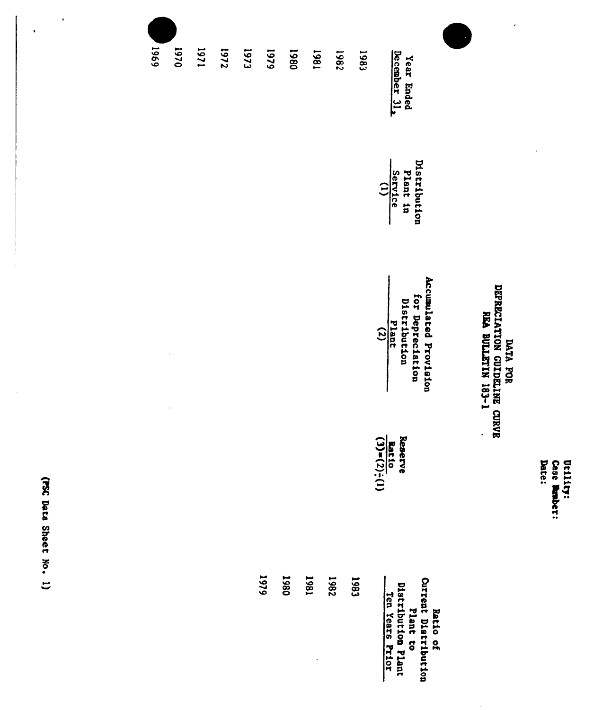Utility:<br>Case Nember:<br>Date:

## NOR ANG ANG ATAWANG CURVE<br>NANG SELATANG KOLORANG CURVE<br>NG ANG ANG ATA

 $\overline{\phantom{a}}$ 

 $\ddot{\phantom{1}}$ 

| 6961<br>0261 | 1271 | 7251 | [73] | 6461 | 1980 | 1861 | 1982        | 1989 |                                                                                       |                      |
|--------------|------|------|------|------|------|------|-------------|------|---------------------------------------------------------------------------------------|----------------------|
|              |      |      |      |      |      |      |             |      | Year Ended<br>December 31,                                                            |                      |
|              |      |      |      |      |      |      |             |      | Distribution<br>Plant in<br>$\frac{3 \text{error} \cdot \text{ref}}{(1)}$             |                      |
|              |      |      |      |      |      |      |             |      | Accumulated Provision<br>for Depreciation<br>Distribution<br>Plant<br>(2)<br>(2)      | T-E8I NILITING VAN   |
|              |      |      |      |      |      |      |             |      | Reaerve<br>$\frac{\text{Rate 10}}{(3)-(2)}$ :<br>Ξ                                    | $\ddot{\phantom{0}}$ |
|              |      |      | 1979 | 1980 | 1861 |      | <b>7861</b> | 1983 | Current Distribution<br>Plant to<br>Distribution Plant<br>Ten Years Frior<br>Ratio of |                      |

(FSC Data Sheet No. 1)

 $\bar{\gamma}$ 

 $\overline{\phantom{a}}$ 

 $\ddot{\phantom{0}}$